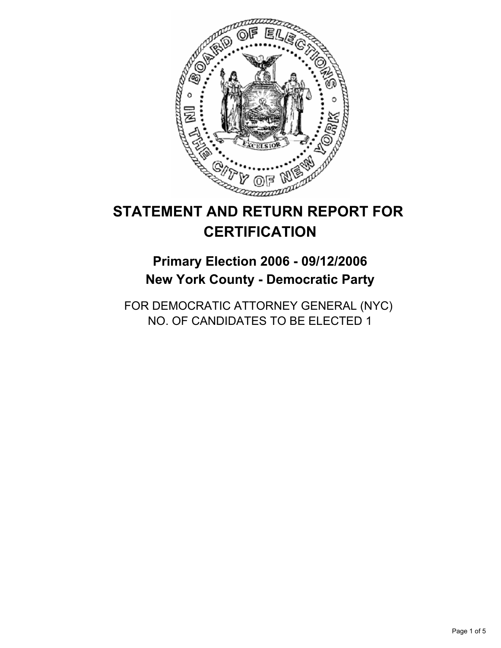

# **STATEMENT AND RETURN REPORT FOR CERTIFICATION**

**Primary Election 2006 - 09/12/2006 New York County - Democratic Party**

FOR DEMOCRATIC ATTORNEY GENERAL (NYC) NO. OF CANDIDATES TO BE ELECTED 1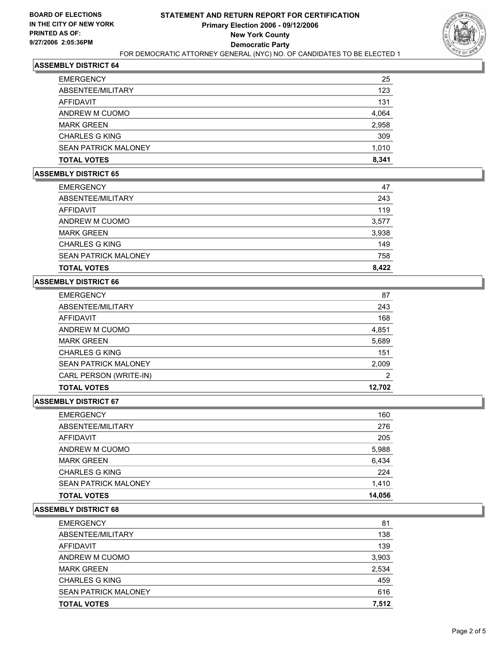

# **ASSEMBLY DISTRICT 64**

| <b>EMERGENCY</b>            | 25    |
|-----------------------------|-------|
| ABSENTEE/MILITARY           | 123   |
| AFFIDAVIT                   | 131   |
| ANDREW M CUOMO              | 4,064 |
| <b>MARK GREEN</b>           | 2,958 |
| <b>CHARLES G KING</b>       | 309   |
| <b>SEAN PATRICK MALONEY</b> | 1,010 |
| <b>TOTAL VOTES</b>          | 8,341 |

#### **ASSEMBLY DISTRICT 65**

| <b>EMERGENCY</b>            | 47    |
|-----------------------------|-------|
| ABSENTEE/MILITARY           | 243   |
| AFFIDAVIT                   | 119   |
| ANDREW M CUOMO              | 3,577 |
| <b>MARK GREEN</b>           | 3,938 |
| CHARLES G KING              | 149   |
| <b>SEAN PATRICK MALONEY</b> | 758   |
| <b>TOTAL VOTES</b>          | 8,422 |

# **ASSEMBLY DISTRICT 66**

| 87     |
|--------|
| 243    |
| 168    |
| 4,851  |
| 5,689  |
| 151    |
| 2,009  |
| 2      |
| 12,702 |
|        |

# **ASSEMBLY DISTRICT 67**

| <b>MARK GREEN</b>           | 6,434  |
|-----------------------------|--------|
| <b>CHARLES G KING</b>       | 224    |
| <b>SEAN PATRICK MALONEY</b> | 1,410  |
| <b>TOTAL VOTES</b>          | 14,056 |

#### **ASSEMBLY DISTRICT 68**

| 81    |
|-------|
| 138   |
| 139   |
| 3,903 |
| 2,534 |
| 459   |
| 616   |
| 7,512 |
|       |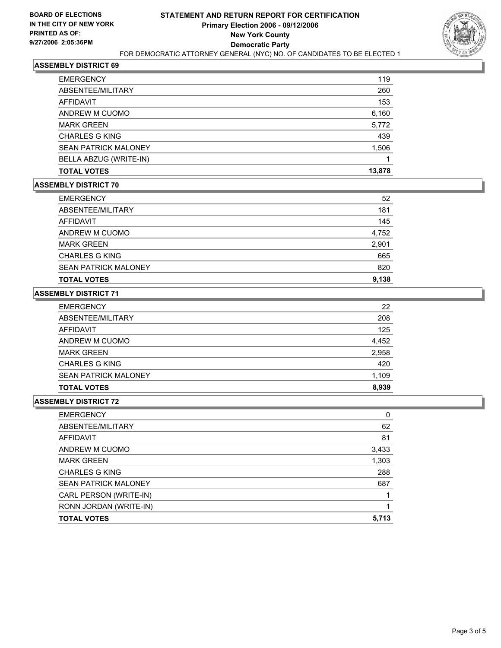

# **ASSEMBLY DISTRICT 69**

| <b>EMERGENCY</b>            | 119    |
|-----------------------------|--------|
| ABSENTEE/MILITARY           | 260    |
| <b>AFFIDAVIT</b>            | 153    |
| ANDREW M CUOMO              | 6,160  |
| <b>MARK GREEN</b>           | 5,772  |
| <b>CHARLES G KING</b>       | 439    |
| <b>SEAN PATRICK MALONEY</b> | 1,506  |
| BELLA ABZUG (WRITE-IN)      |        |
| <b>TOTAL VOTES</b>          | 13,878 |
|                             |        |

### **ASSEMBLY DISTRICT 70**

| <b>EMERGENCY</b>            | 52    |
|-----------------------------|-------|
| ABSENTEE/MILITARY           | 181   |
| AFFIDAVIT                   | 145   |
| ANDREW M CUOMO              | 4,752 |
| <b>MARK GREEN</b>           | 2,901 |
| <b>CHARLES G KING</b>       | 665   |
| <b>SEAN PATRICK MALONEY</b> | 820   |
| <b>TOTAL VOTES</b>          | 9,138 |

# **ASSEMBLY DISTRICT 71**

| <b>EMERGENCY</b>            | 22    |
|-----------------------------|-------|
| ABSENTEE/MILITARY           | 208   |
| AFFIDAVIT                   | 125   |
| ANDREW M CUOMO              | 4,452 |
| <b>MARK GREEN</b>           | 2,958 |
| <b>CHARLES G KING</b>       | 420   |
| <b>SEAN PATRICK MALONEY</b> | 1,109 |
| <b>TOTAL VOTES</b>          | 8,939 |

### **ASSEMBLY DISTRICT 72**

| 62    |
|-------|
| 81    |
| 3,433 |
| 1,303 |
| 288   |
| 687   |
|       |
|       |
| 5,713 |
|       |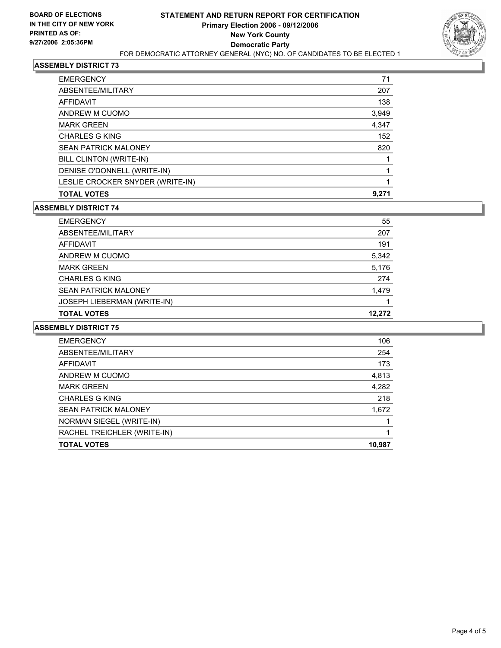

# **ASSEMBLY DISTRICT 73**

| 71<br><b>EMERGENCY</b>             |
|------------------------------------|
| ABSENTEE/MILITARY<br>207           |
| 138<br>AFFIDAVIT                   |
| ANDREW M CUOMO<br>3,949            |
| 4,347<br><b>MARK GREEN</b>         |
| <b>CHARLES G KING</b><br>152       |
| <b>SEAN PATRICK MALONEY</b><br>820 |
| BILL CLINTON (WRITE-IN)            |
| DENISE O'DONNELL (WRITE-IN)        |
| LESLIE CROCKER SNYDER (WRITE-IN)   |
| 9,271<br><b>TOTAL VOTES</b>        |

### **ASSEMBLY DISTRICT 74**

| <b>EMERGENCY</b>                   | 55     |
|------------------------------------|--------|
| ABSENTEE/MILITARY                  | 207    |
| AFFIDAVIT                          | 191    |
| ANDREW M CUOMO                     | 5,342  |
| <b>MARK GREEN</b>                  | 5,176  |
| <b>CHARLES G KING</b>              | 274    |
| <b>SEAN PATRICK MALONEY</b>        | 1,479  |
| <b>JOSEPH LIEBERMAN (WRITE-IN)</b> |        |
| <b>TOTAL VOTES</b>                 | 12.272 |

### **ASSEMBLY DISTRICT 75**

| 106    |
|--------|
| 254    |
| 173    |
| 4,813  |
| 4,282  |
| 218    |
| 1,672  |
|        |
|        |
| 10,987 |
|        |